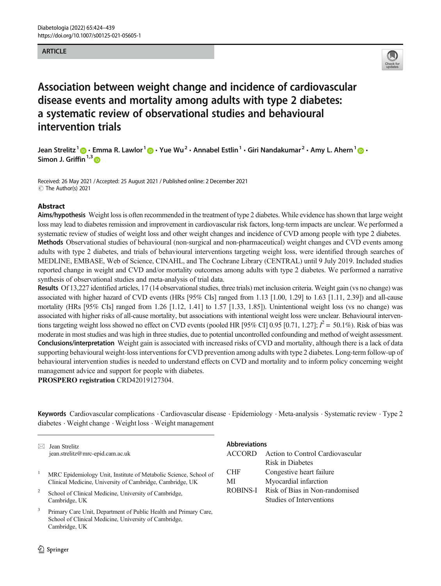### **ARTICLE**



# Association between weight change and incidence of cardiovascular disease events and mortality among adults with type 2 diabetes: a systematic review of observational studies and behavioural intervention trials

Jean Strelitz<sup>1</sup>  $\bigcirc$  · Emma R. Lawlor<sup>1</sup>  $\bigcirc$  · Yue Wu<sup>2</sup> · Annabel Estlin<sup>1</sup> · Giri Nandakumar<sup>2</sup> · Amy L. Ahern<sup>1</sup>  $\bigcirc$  · Simon J. Griffin<sup>[1](http://orcid.org/0000-0003-4051-6944),3</sup>

Received: 26 May 2021 / Accepted: 25 August 2021 / Published online: 2 December 2021 C The Author(s) 2021

### Abstract

Aims/hypothesis Weight loss is often recommended in the treatment of type 2 diabetes. While evidence has shown that large weight loss may lead to diabetes remission and improvement in cardiovascular risk factors, long-term impacts are unclear. We performed a systematic review of studies of weight loss and other weight changes and incidence of CVD among people with type 2 diabetes. Methods Observational studies of behavioural (non-surgical and non-pharmaceutical) weight changes and CVD events among adults with type 2 diabetes, and trials of behavioural interventions targeting weight loss, were identified through searches of MEDLINE, EMBASE, Web of Science, CINAHL, and The Cochrane Library (CENTRAL) until 9 July 2019. Included studies reported change in weight and CVD and/or mortality outcomes among adults with type 2 diabetes. We performed a narrative synthesis of observational studies and meta-analysis of trial data.

Results Of 13,227 identified articles, 17 (14 observational studies, three trials) met inclusion criteria. Weight gain (vs no change) was associated with higher hazard of CVD events (HRs [95% CIs] ranged from 1.13 [1.00, 1.29] to 1.63 [1.11, 2.39]) and all-cause mortality (HRs [95% CIs] ranged from 1.26 [1.12, 1.41] to 1.57 [1.33, 1.85]). Unintentional weight loss (vs no change) was associated with higher risks of all-cause mortality, but associations with intentional weight loss were unclear. Behavioural interventions targeting weight loss showed no effect on CVD events (pooled HR [95% CI] 0.95 [0.71, 1.27];  $l^2 = 50.1\%$ ). Risk of bias was moderate in most studies and was high in three studies, due to potential uncontrolled confounding and method of weight assessment. Conclusions/interpretation Weight gain is associated with increased risks of CVD and mortality, although there is a lack of data supporting behavioural weight-loss interventions for CVD prevention among adults with type 2 diabetes. Long-term follow-up of behavioural intervention studies is needed to understand effects on CVD and mortality and to inform policy concerning weight management advice and support for people with diabetes.

PROSPERO registration CRD42019127304.

Keywords Cardiovascular complications . Cardiovascular disease . Epidemiology . Meta-analysis . Systematic review . Type 2 diabetes . Weight change . Weight loss . Weight management

| $\bowtie$ | Jean Strelitz                                                                                                             | <b>Abbreviations</b> |                                                            |
|-----------|---------------------------------------------------------------------------------------------------------------------------|----------------------|------------------------------------------------------------|
|           | jean.strelitz@mrc-epid.cam.ac.uk                                                                                          | <b>ACCORD</b>        | Action to Control Cardiovascular                           |
|           |                                                                                                                           |                      | Risk in Diabetes                                           |
|           | MRC Epidemiology Unit, Institute of Metabolic Science, School of                                                          | <b>CHF</b>           | Congestive heart failure                                   |
|           | Clinical Medicine, University of Cambridge, Cambridge, UK                                                                 | MI                   | Myocardial infarction                                      |
| 2         | School of Clinical Medicine, University of Cambridge,<br>Cambridge, UK                                                    | <b>ROBINS-I</b>      | Risk of Bias in Non-randomised<br>Studies of Interventions |
| 3         | Primary Care Unit, Department of Public Health and Primary Care,<br>School of Clinical Medicine, University of Cambridge, |                      |                                                            |

Cambridge, UK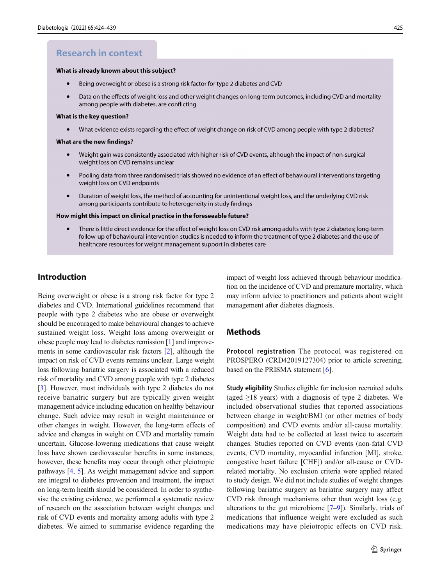# **Research in context**

#### What is already known about this subiect?

- Being overweight or obese is a strong risk factor for type 2 diabetes and CVD  $\bullet$
- Data on the effects of weight loss and other weight changes on long-term outcomes, including CVD and mortality among people with diabetes, are conflicting

#### What is the key question?

What evidence exists regarding the effect of weight change on risk of CVD among people with type 2 diabetes?  $\bullet$ 

#### What are the new findings?

- Weight gain was consistently associated with higher risk of CVD events, although the impact of non-surgical weight loss on CVD remains unclear
- $\bullet$ Pooling data from three randomised trials showed no evidence of an effect of behavioural interventions targeting weight loss on CVD endpoints
- $\bullet$ Duration of weight loss, the method of accounting for unintentional weight loss, and the underlying CVD risk among participants contribute to heterogeneity in study findings

#### How might this impact on clinical practice in the foreseeable future?

There is little direct evidence for the effect of weight loss on CVD risk among adults with type 2 diabetes; long-term follow-up of behavioural intervention studies is needed to inform the treatment of type 2 diabetes and the use of healthcare resources for weight management support in diabetes care

# Introduction

Being overweight or obese is a strong risk factor for type 2 diabetes and CVD. International guidelines recommend that people with type 2 diabetes who are obese or overweight should be encouraged to make behavioural changes to achieve sustained weight loss. Weight loss among overweight or obese people may lead to diabetes remission [\[1\]](#page-13-0) and improvements in some cardiovascular risk factors [\[2](#page-13-0)], although the impact on risk of CVD events remains unclear. Large weight loss following bariatric surgery is associated with a reduced risk of mortality and CVD among people with type 2 diabetes [\[3](#page-13-0)]. However, most individuals with type 2 diabetes do not receive bariatric surgery but are typically given weight management advice including education on healthy behaviour change. Such advice may result in weight maintenance or other changes in weight. However, the long-term effects of advice and changes in weight on CVD and mortality remain uncertain. Glucose-lowering medications that cause weight loss have shown cardiovascular benefits in some instances; however, these benefits may occur through other pleiotropic pathways [\[4,](#page-13-0) [5](#page-13-0)]. As weight management advice and support are integral to diabetes prevention and treatment, the impact on long-term health should be considered. In order to synthesise the existing evidence, we performed a systematic review of research on the association between weight changes and risk of CVD events and mortality among adults with type 2 diabetes. We aimed to summarise evidence regarding the

impact of weight loss achieved through behaviour modification on the incidence of CVD and premature mortality, which may inform advice to practitioners and patients about weight management after diabetes diagnosis.

## **Methods**

Protocol registration The protocol was registered on PROSPERO (CRD42019127304) prior to article screening, based on the PRISMA statement [\[6](#page-13-0)].

Study eligibility Studies eligible for inclusion recruited adults (aged  $\geq$ 18 years) with a diagnosis of type 2 diabetes. We included observational studies that reported associations between change in weight/BMI (or other metrics of body composition) and CVD events and/or all-cause mortality. Weight data had to be collected at least twice to ascertain changes. Studies reported on CVD events (non-fatal CVD events, CVD mortality, myocardial infarction [MI], stroke, congestive heart failure [CHF]) and/or all-cause or CVDrelated mortality. No exclusion criteria were applied related to study design. We did not include studies of weight changes following bariatric surgery as bariatric surgery may affect CVD risk through mechanisms other than weight loss (e.g. alterations to the gut microbiome [\[7](#page-13-0)–[9\]](#page-13-0)). Similarly, trials of medications that influence weight were excluded as such medications may have pleiotropic effects on CVD risk.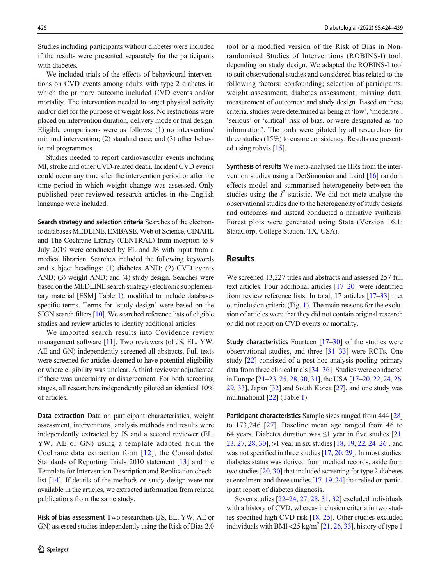Studies including participants without diabetes were included if the results were presented separately for the participants with diabetes.

We included trials of the effects of behavioural interventions on CVD events among adults with type 2 diabetes in which the primary outcome included CVD events and/or mortality. The intervention needed to target physical activity and/or diet for the purpose of weight loss. No restrictions were placed on intervention duration, delivery mode or trial design. Eligible comparisons were as follows: (1) no intervention/ minimal intervention; (2) standard care; and (3) other behavioural programmes.

Studies needed to report cardiovascular events including MI, stroke and other CVD-related death. Incident CVD events could occur any time after the intervention period or after the time period in which weight change was assessed. Only published peer-reviewed research articles in the English language were included.

Search strategy and selection criteria Searches of the electronic databases MEDLINE, EMBASE, Web of Science, CINAHL and The Cochrane Library (CENTRAL) from inception to 9 July 2019 were conducted by EL and JS with input from a medical librarian. Searches included the following keywords and subject headings: (1) diabetes AND; (2) CVD events AND; (3) weight AND; and (4) study design. Searches were based on the MEDLINE search strategy (electronic supplementary material [ESM] Table 1), modified to include databasespecific terms. Terms for 'study design' were based on the SIGN search filters [[10](#page-14-0)]. We searched reference lists of eligible studies and review articles to identify additional articles.

We imported search results into Covidence review management software [\[11](#page-14-0)]. Two reviewers (of JS, EL, YW, AE and GN) independently screened all abstracts. Full texts were screened for articles deemed to have potential eligibility or where eligibility was unclear. A third reviewer adjudicated if there was uncertainty or disagreement. For both screening stages, all researchers independently piloted an identical 10% of articles.

Data extraction Data on participant characteristics, weight assessment, interventions, analysis methods and results were independently extracted by JS and a second reviewer (EL, YW, AE or GN) using a template adapted from the Cochrane data extraction form [[12\]](#page-14-0), the Consolidated Standards of Reporting Trials 2010 statement [\[13](#page-14-0)] and the Template for Intervention Description and Replication checklist [\[14](#page-14-0)]. If details of the methods or study design were not available in the articles, we extracted information from related publications from the same study.

Risk of bias assessment Two researchers (JS, EL, YW, AE or GN) assessed studies independently using the Risk of Bias 2.0

tool or a modified version of the Risk of Bias in Nonrandomised Studies of Interventions (ROBINS-I) tool, depending on study design. We adapted the ROBINS-I tool to suit observational studies and considered bias related to the following factors: confounding; selection of participants; weight assessment; diabetes assessment; missing data; measurement of outcomes; and study design. Based on these criteria, studies were determined as being at 'low', 'moderate', 'serious' or 'critical' risk of bias, or were designated as 'no information'. The tools were piloted by all researchers for three studies (15%) to ensure consistency. Results are presented using robvis [[15](#page-14-0)].

Synthesis of results We meta-analysed the HRs from the intervention studies using a DerSimonian and Laird [[16](#page-14-0)] random effects model and summarised heterogeneity between the studies using the  $I^2$  statistic. We did not meta-analyse the observational studies due to the heterogeneity of study designs and outcomes and instead conducted a narrative synthesis. Forest plots were generated using Stata (Version 16.1; StataCorp, College Station, TX, USA).

# Results

We screened 13,227 titles and abstracts and assessed 257 full text articles. Four additional articles [\[17](#page-14-0)–[20\]](#page-14-0) were identified from review reference lists. In total, 17 articles [[17](#page-14-0)–[33](#page-14-0)] met our inclusion criteria (Fig. [1](#page-3-0)). The main reasons for the exclusion of articles were that they did not contain original research or did not report on CVD events or mortality.

**Study characteristics** Fourteen  $[17-30]$  $[17-30]$  $[17-30]$  $[17-30]$  $[17-30]$  of the studies were observational studies, and three  $\left[31-33\right]$  $\left[31-33\right]$  $\left[31-33\right]$  were RCTs. One study [[22\]](#page-14-0) consisted of a post hoc analysis pooling primary data from three clinical trials [[34](#page-14-0)–[36](#page-14-0)]. Studies were conducted in Europe [[21](#page-14-0)–[23](#page-14-0), [25](#page-14-0), [28](#page-14-0), [30](#page-14-0), [31](#page-14-0)], the USA [\[17](#page-14-0)–[20,](#page-14-0) [22,](#page-14-0) [24,](#page-14-0) [26,](#page-14-0) [29,](#page-14-0) [33\]](#page-14-0), Japan [[32\]](#page-14-0) and South Korea [\[27\]](#page-14-0), and one study was multinational [\[22](#page-14-0)] (Table [1\)](#page-4-0).

Participant characteristics Sample sizes ranged from 444 [\[28](#page-14-0)] to 173,246 [[27](#page-14-0)]. Baseline mean age ranged from 46 to 64 years. Diabetes duration was  $\leq 1$  year in five studies [\[21,](#page-14-0) [23,](#page-14-0) [27](#page-14-0), [28,](#page-14-0) [30](#page-14-0)], >1 year in six studies [\[18](#page-14-0), [19,](#page-14-0) [22](#page-14-0), [24](#page-14-0)–[26](#page-14-0)], and was not specified in three studies [[17,](#page-14-0) [20,](#page-14-0) [29](#page-14-0)]. In most studies, diabetes status was derived from medical records, aside from two studies [[20](#page-14-0), [30](#page-14-0)] that included screening for type 2 diabetes at enrolment and three studies [[17](#page-14-0), [19,](#page-14-0) [24\]](#page-14-0) that relied on participant report of diabetes diagnosis.

Seven studies [[22](#page-14-0)–[24](#page-14-0), [27,](#page-14-0) [28](#page-14-0), [31,](#page-14-0) [32](#page-14-0)] excluded individuals with a history of CVD, whereas inclusion criteria in two studies specified high CVD risk [\[18](#page-14-0), [25](#page-14-0)]. Other studies excluded individuals with BMI <25 kg/m<sup>2</sup> [\[21](#page-14-0), [26](#page-14-0), [33\]](#page-14-0), history of type 1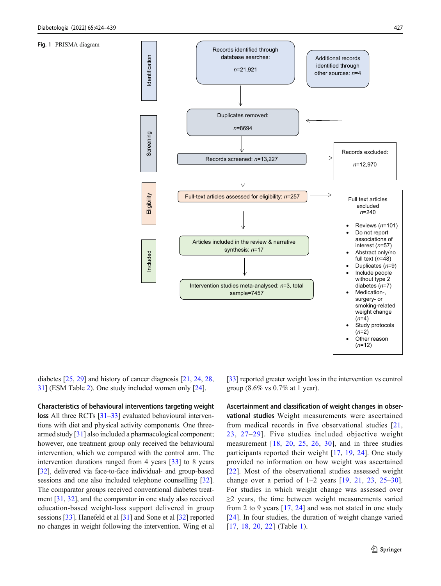<span id="page-3-0"></span>Fig. 1 PRISMA diagram



diabetes [\[25](#page-14-0), [29](#page-14-0)] and history of cancer diagnosis [[21,](#page-14-0) [24,](#page-14-0) [28,](#page-14-0) [31\]](#page-14-0) (ESM Table 2). One study included women only [\[24](#page-14-0)].

Characteristics of behavioural interventions targeting weight loss All three RCTs [\[31](#page-14-0)–[33\]](#page-14-0) evaluated behavioural interventions with diet and physical activity components. One threearmed study [\[31\]](#page-14-0) also included a pharmacological component; however, one treatment group only received the behavioural intervention, which we compared with the control arm. The intervention durations ranged from 4 years [[33\]](#page-14-0) to 8 years [\[32\]](#page-14-0), delivered via face-to-face individual- and group-based sessions and one also included telephone counselling [[32](#page-14-0)]. The comparator groups received conventional diabetes treatment [\[31](#page-14-0), [32\]](#page-14-0), and the comparator in one study also received education-based weight-loss support delivered in group sessions [\[33](#page-14-0)]. Hanefeld et al [[31\]](#page-14-0) and Sone et al [[32](#page-14-0)] reported no changes in weight following the intervention. Wing et al [\[33](#page-14-0)] reported greater weight loss in the intervention vs control group (8.6% vs 0.7% at 1 year).

Ascertainment and classification of weight changes in observational studies Weight measurements were ascertained from medical records in five observational studies [\[21,](#page-14-0) [23](#page-14-0), [27](#page-14-0)–[29\]](#page-14-0). Five studies included objective weight measurement [\[18,](#page-14-0) [20](#page-14-0), [25,](#page-14-0) [26](#page-14-0), [30](#page-14-0)], and in three studies participants reported their weight [[17](#page-14-0), [19](#page-14-0), [24\]](#page-14-0). One study provided no information on how weight was ascertained [\[22\]](#page-14-0). Most of the observational studies assessed weight change over a period of  $1-2$  years  $[19, 21, 23, 25-30]$  $[19, 21, 23, 25-30]$  $[19, 21, 23, 25-30]$  $[19, 21, 23, 25-30]$  $[19, 21, 23, 25-30]$  $[19, 21, 23, 25-30]$  $[19, 21, 23, 25-30]$  $[19, 21, 23, 25-30]$  $[19, 21, 23, 25-30]$  $[19, 21, 23, 25-30]$  $[19, 21, 23, 25-30]$ . For studies in which weight change was assessed over  $\geq$  years, the time between weight measurements varied from 2 to 9 years [[17](#page-14-0), [24\]](#page-14-0) and was not stated in one study [\[24\]](#page-14-0). In four studies, the duration of weight change varied [\[17,](#page-14-0) [18,](#page-14-0) [20](#page-14-0), [22](#page-14-0)] (Table [1](#page-4-0)).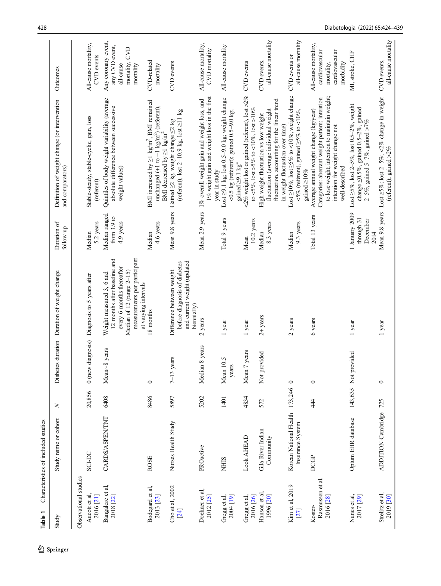<span id="page-4-0"></span>

| Table 1                                  | Characteristics of included studies                |        |                              |                                                                                                                                                                            |                                                  |                                                                                                                                                                                                |                                                                                     |
|------------------------------------------|----------------------------------------------------|--------|------------------------------|----------------------------------------------------------------------------------------------------------------------------------------------------------------------------|--------------------------------------------------|------------------------------------------------------------------------------------------------------------------------------------------------------------------------------------------------|-------------------------------------------------------------------------------------|
| Study                                    | Study name or cohort                               | z      |                              | Diabetes duration Duration of weight change                                                                                                                                | Duration of<br>follow-up                         | Definition of weight change (or intervention<br>and comparators)                                                                                                                               | Outcomes                                                                            |
| Observational studies                    |                                                    |        |                              |                                                                                                                                                                            |                                                  |                                                                                                                                                                                                |                                                                                     |
| Aucott et al.<br>2016 [21]               | <b>SCI-DC</b>                                      | 20,856 |                              | 0 (new diagnosis) Diagnosis to 5 years after                                                                                                                               | 5.2 years<br>Median                              | Stable-steady, stable-cyclic, gain, loss<br>(referent)                                                                                                                                         | All-cause mortality,<br>CVD events                                                  |
| Bangalore et al,<br>2018 [22]            | <b>CARDS/ASPEN/TNT</b>                             | 6408   | Mean~8 years                 | measurements per participant<br>12 months after baseline and<br>every 6 months thereafter<br>Median of 12 (range 2-15)<br>Weight measured 3, 6 and<br>at varying intervals | Median ranged<br>from 3.9 to<br>4.9 years        | Quintiles of body weight variability (average<br>absolute difference between successive<br>weight values)                                                                                      | Any coronary event,<br>any CVD event,<br>mortality, CVD<br>all-cause<br>mortality   |
| Bodegard et al,<br>2013 [23]             | <b>ROSE</b>                                        | 8486   | $\circ$                      | 8 months                                                                                                                                                                   | 4.6 years<br>Median                              | BMI increased by $\geq$ l kg/m <sup>2</sup> , BMI remained<br>unchanged (+1 to -1 kg/m <sup>2</sup> ) (referent),<br>BMI decreased by $\geq 1$ kg/m <sup>2</sup>                               | CVD-related<br>mortality                                                            |
| Cho et al, 2002<br>[24]                  | Nurses Health Study                                | 5897   | years<br>$7 - 13$            | and current weight (updated<br>before diagnosis of diabetes<br>Difference between weight<br>biennially)                                                                    | Mean 9.8 years                                   | (referent), lost $2-10.9$ kg, lost $\geq$ 11 kg<br>Gained $\geq$ 2 kg, weight change $\leq$ 2 kg                                                                                               | CVD events                                                                          |
| Doehner et al,<br>2012 [25]              | PROactive                                          | 5202   | Median 8 years               | 2 years                                                                                                                                                                    |                                                  | 1% weight gain and weight loss in the first<br>Mean 2.9 years 1% overall weight gain and weight loss, and<br>year in study                                                                     | All-cause mortality,<br>CVD mortality                                               |
| 2004 [19]<br>Gregg et al.                | <b>NHIS</b>                                        | 1401   | Mean 10.5<br>years           | 1 year                                                                                                                                                                     | Total 9 years                                    | Lost $\geq$ 9.1 kg; lost 0.5-9.0 kg; weight change<br><0.5 kg (referent); gained 0.5-9.0 kg;<br>gained $\geq$ 9.1 kg <sup>a</sup>                                                              | All-cause mortality                                                                 |
| Gregg et al,<br>2016 [26]                | Look AHEAD                                         | 4834   | 7 years<br>Mean <sup>'</sup> | 1 year                                                                                                                                                                     | $10.2$ years<br>Mean                             | <2% weight lost or gained (referent), lost >2%<br>to <5%, lost >5% to <10%, lost >10%                                                                                                          | CVD events                                                                          |
| Hanson et al,<br>1996 [20]               | Gila River Indian<br>Community                     | 572    | Not provided                 | $2+$ years                                                                                                                                                                 | 8.3 years<br>Median                              | fluctuation, accounting for the linear trend<br>fluctuation (average individual weight<br>High weight fluctuation vs low weight<br>in weight fluctuation over time)                            | all-cause mortality<br>CVD events,                                                  |
| Kim et al, 2019<br>[27]                  | Korean National Health 173,246<br>Insurance System |        | $\circ$                      | $2$ years                                                                                                                                                                  | 9.3 years<br>Median                              | Lost $\geq$ 10%, lost $\geq$ 5% to <10%, weight change<br>$\leq 5\%$ (referent), gained $\geq 5\%$ to $\leq 10\%$ ,<br>gained $\geq$ 10%                                                       | all-cause mortality<br>CVD events or                                                |
| Rasmussen et al,<br>2016 [28]<br>Koster- | <b>DCGP</b>                                        | 44     | $\circ$                      | 6 years                                                                                                                                                                    | Total 13 years                                   | to lose weight; intention to maintain weight;<br>Categories: aberrant weight pattern; intention<br>Average annual weight change (kg/year)<br>intention for weight change not<br>well-described | All-cause mortality,<br>cardiovascular<br>cardiovascular<br>morbidity<br>mortality, |
| Nunes et al,<br>2017 [29]                | Optum EHR database                                 |        | 143,635 Not provided         | 1 year                                                                                                                                                                     | 1 January 2009<br>through 31<br>December<br>2014 | Lost $\geq$ 5%, lost 2–5%, lost 0.5–2%, weight<br>change $\leq$ 0.5%, gained 0.5-2%, gained<br>2–5%, gained 5–7%, gained >7%                                                                   | MI, stroke, CHF                                                                     |
| Strelitz et al,<br>2019 [30]             | ADDITION-Cambridge                                 | 725    | $\circ$                      | 1 year                                                                                                                                                                     |                                                  | Mean 9.8 years Lost $\geq$ 5%; lost 2-5%; <2% change in weight<br>(referent); gained $>2\%$                                                                                                    | all-cause mortality<br>CVD events,                                                  |

**Table 1** Characteristics of included studies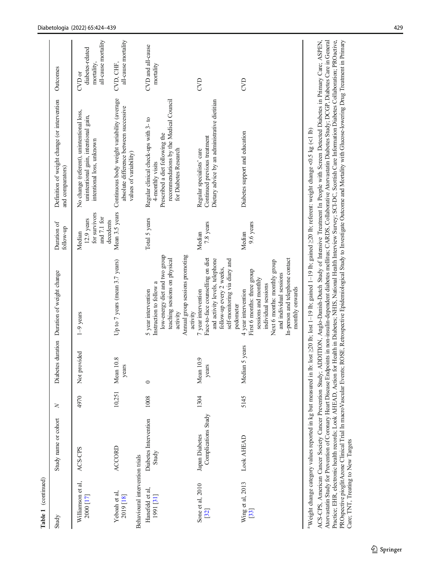| Table 1 (continued)                                           |                                       |        |                    |                                                                                                                                                                                                                    |                                                                     |                                                                                                                                                                             |                                                                   |
|---------------------------------------------------------------|---------------------------------------|--------|--------------------|--------------------------------------------------------------------------------------------------------------------------------------------------------------------------------------------------------------------|---------------------------------------------------------------------|-----------------------------------------------------------------------------------------------------------------------------------------------------------------------------|-------------------------------------------------------------------|
| Study                                                         | Study name or cohort                  | $\geq$ |                    | Diabetes duration Duration of weight change                                                                                                                                                                        | Duration of<br>follow-up                                            | Definition of weight change (or intervention<br>and comparators)                                                                                                            | Outcomes                                                          |
| Williamson et al,<br>2000 [17]                                | ACS-CPS                               | 4970   | provided<br>Not    | $1-9$ years                                                                                                                                                                                                        | for survivors<br>and 7.1 for<br>$12.9$ years<br>decedents<br>Median | No change (referent), unintentional loss,<br>unintentional gain, intentional gain,<br>intentional loss, unknown                                                             | all-cause mortality<br>diabetes-related<br>mortality,<br>$CVD$ or |
| Behavioural intervention trials<br>Yeboah et al,<br>2019 [18] | <b>ACCORD</b>                         | 10,251 | Mean 10.8<br>years | Up to 7 years (mean 3.7 years)                                                                                                                                                                                     | Mean 3.5 years                                                      | Continuous body weight variability (average<br>absolute difference between successive<br>values of variability)                                                             | all-cause mortality<br>CVD, CHF,                                  |
| Hanefeld et al,<br>1991 [31]                                  | Diabetes Intervention<br>Study        | 1008   | $\circ$            | low-energy diet and two group<br>Annual group sessions promoting<br>teaching sessions on physical<br>Instruction to follow a<br>5 year intervention<br>activity<br>activity                                        | Total 5 years                                                       | recommendations by the Medical Council<br>Regular clinical check-ups with 3- to<br>Prescribed a diet following the<br>for Diabetes Research<br>4-monthly visits             | CVD and all-cause<br>mortality                                    |
| Sone et al, 2010<br>$[32]$                                    | Complications Study<br>Japan Diabetes | 1304   | Mean 10.9<br>years | Face-to-face counselling on diet<br>self-monitoring via diary and<br>and activity levels, telephone<br>follow-up every 2 weeks,<br>7 year intervention<br>pedometer                                                | 7.8 years<br>Median                                                 | Dietary advice by an administrative dietitian<br>Continued previous treatment<br>Regular specialists' care                                                                  | CVD                                                               |
| Wing et al, 2013<br>[33]                                      | Look AHEAD                            | 5145   | Median 5 years     | In-person and telephone contact<br>Next 6 months: monthly group<br>First 6 months: three group<br>and individual sessions<br>sessions and monthly<br>individual sessions<br>monthly onwards<br>4 year intervention | 9.6 years<br>Median                                                 | Diabetes support and education                                                                                                                                              | CVD                                                               |
|                                                               |                                       |        |                    | <sup>a</sup> Weight change category values reported in kg but measured in lb: lost 220 lb; lost 1-19 lb; gained 1-19 lb; gained 220 lb; referent: weight change <0.5 kg (<1 lb)                                    |                                                                     | ACPS American Cancer Society Cancer Prevention Study: ADDITION And Danish-Dutch Study of Intensive Treatment In People with Screen Detected Diabetes in Primary Care- ASPEN |                                                                   |

ACO-CO S, Antuncial Caucci Society Cancel Heart Disease Endpoints in non-insulin-dependent diabetes mellitus; CARDS, Collaborative Atorvastatin Diabetes Care in General Practice; EHR, electronic health records; Look AHEAD, Atorvastatin Study for Prevention of Coronary Heart Disease Endpoints in non-insulin-dependent diabetes mellitus; CARDS, Collaborative Atorvastatin Diabetes Study; DCGP, Diabetes Care in General PROspective pioglitAzone Clinical Trial In macroVascular Events; ROSE, Retrospective Epidemiological Study to Investigate Outcome and Mortality with Glucose-lowering Drug Treatment in Primary ACS-CPS, American Cancer Society Cancer Prevention Study; ADDITION, Anglo-Danish-Dutch Study of Intensive Treatment In People with Screen Detected Diabetes in Primary Care; ASPEN, Practice; EHR, electronic health records; Look AHEAD, Action for Health in Diabetes; NHIS, National Health Interview Survey; SCI-DC, Scottish Care Information Diabetes Collaboration; PROactive, Care; TNT, Treating to New Targets Care; TNT, Treating to New Targets

l.

 $\lambda$ 

J.

 $\overline{a}$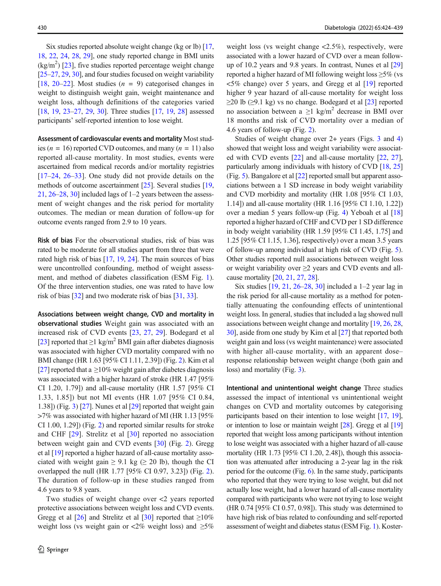Six studies reported absolute weight change (kg or lb) [[17,](#page-14-0) [18,](#page-14-0) [22](#page-14-0), [24,](#page-14-0) [28,](#page-14-0) [29](#page-14-0)], one study reported change in BMI units  $(kg/m<sup>2</sup>)$  [\[23\]](#page-14-0), five studies reported percentage weight change [\[25](#page-14-0)–[27,](#page-14-0) [29,](#page-14-0) [30\]](#page-14-0), and four studies focused on weight variability [\[18](#page-14-0), [20](#page-14-0)–[22\]](#page-14-0). Most studies  $(n = 9)$  categorised changes in weight to distinguish weight gain, weight maintenance and weight loss, although definitions of the categories varied [\[18,](#page-14-0) [19](#page-14-0), [23](#page-14-0)–[27,](#page-14-0) [29](#page-14-0), [30\]](#page-14-0). Three studies [[17,](#page-14-0) 19, [28\]](#page-14-0) assessed participants' self-reported intention to lose weight.

Assessment of cardiovascular events and mortality Most studies ( $n = 16$ ) reported CVD outcomes, and many ( $n = 11$ ) also reported all-cause mortality. In most studies, events were ascertained from medical records and/or mortality registries [\[17](#page-14-0)–[24](#page-14-0), [26](#page-14-0)–[33\]](#page-14-0). One study did not provide details on the methods of outcome ascertainment [[25\]](#page-14-0). Several studies [[19,](#page-14-0) [21,](#page-14-0) [26](#page-14-0)–[28,](#page-14-0) [30\]](#page-14-0) included lags of 1–2 years between the assessment of weight changes and the risk period for mortality outcomes. The median or mean duration of follow-up for outcome events ranged from 2.9 to 10 years.

Risk of bias For the observational studies, risk of bias was rated to be moderate for all studies apart from three that were rated high risk of bias [[17](#page-14-0), [19](#page-14-0), [24](#page-14-0)]. The main sources of bias were uncontrolled confounding, method of weight assessment, and method of diabetes classification (ESM Fig. 1). Of the three intervention studies, one was rated to have low risk of bias [\[32\]](#page-14-0) and two moderate risk of bias [\[31](#page-14-0), [33\]](#page-14-0).

Associations between weight change, CVD and mortality in observational studies Weight gain was associated with an increased risk of CVD events [\[23,](#page-14-0) [27](#page-14-0), [29](#page-14-0)]. Bodegard et al [\[23\]](#page-14-0) reported that  $\geq$ 1 kg/m<sup>2</sup> BMI gain after diabetes diagnosis was associated with higher CVD mortality compared with no BMI change (HR 1.63 [95% CI 1.11, 2.39]) (Fig. [2](#page-7-0)). Kim et al [\[27\]](#page-14-0) reported that a  $\geq$ 10% weight gain after diabetes diagnosis was associated with a higher hazard of stroke (HR 1.47 [95% CI 1.20, 1.79]) and all-cause mortality (HR 1.57 [95% CI 1.33, 1.85]) but not MI events (HR 1.07 [95% CI 0.84, 1.38]) (Fig. [3](#page-8-0)) [\[27\]](#page-14-0). Nunes et al [\[29](#page-14-0)] reported that weight gain >7% was associated with higher hazard of MI (HR 1.13 [95% CI 1.00, 1.29]) (Fig. [2\)](#page-7-0) and reported similar results for stroke and CHF [\[29\]](#page-14-0). Strelitz et al [[30](#page-14-0)] reported no association between weight gain and CVD events [[30](#page-14-0)] (Fig. [2](#page-7-0)). Gregg et al [[19\]](#page-14-0) reported a higher hazard of all-cause mortality associated with weight gain  $\geq 9.1$  kg ( $\geq 20$  lb), though the CI overlapped the null (HR 1.77 [95% CI 0.97, 3.23]) (Fig. [2\)](#page-7-0). The duration of follow-up in these studies ranged from 4.6 years to 9.8 years.

Two studies of weight change over <2 years reported protective associations between weight loss and CVD events. Gregg et al [[26\]](#page-14-0) and Strelitz et al [[30](#page-14-0)] reported that  $\geq 10\%$ weight loss (vs weight gain or <2% weight loss) and  $\geq 5\%$  weight loss (vs weight change  $\langle 2.5\% \rangle$ , respectively, were associated with a lower hazard of CVD over a mean followup of 10.2 years and 9.8 years. In contrast, Nunes et al [\[29\]](#page-14-0) reported a higher hazard of MI following weight loss  $\geq$ 5% (vs <5% change) over 5 years, and Gregg et al [[19](#page-14-0)] reported higher 9 year hazard of all-cause mortality for weight loss  $\geq$ 20 lb ( $\geq$ 9.1 kg) vs no change. Bodegard et al [\[23\]](#page-14-0) reported no association between a  $\geq 1$  kg/m<sup>2</sup> decrease in BMI over 18 months and risk of CVD mortality over a median of 4.6 years of follow-up (Fig. [2\)](#page-7-0).

Studies of weight change over 2+ years (Figs. [3](#page-8-0) and [4](#page-9-0)) showed that weight loss and weight variability were associated with CVD events [[22\]](#page-14-0) and all-cause mortality [[22](#page-14-0), [27\]](#page-14-0), particularly among individuals with history of CVD [\[18,](#page-14-0) [25](#page-14-0)] (Fig. [5\)](#page-10-0). Bangalore et al [\[22](#page-14-0)] reported small but apparent associations between a 1 SD increase in body weight variability and CVD morbidity and mortality (HR 1.08 [95% CI 1.03, 1.14]) and all-cause mortality (HR 1.16 [95% CI 1.10, 1.22]) over a median 5 years follow-up (Fig. [4](#page-9-0)) Yeboah et al [\[18](#page-14-0)] reported a higher hazard of CHF and CVD per 1 SD difference in body weight variability (HR 1.59 [95% CI 1.45, 1.75] and 1.25 [95% CI 1.15, 1.36], respectively) over a mean 3.5 years of follow-up among individual at high risk of CVD (Fig. [5\)](#page-10-0). Other studies reported null associations between weight loss or weight variability over  $\geq$  years and CVD events and allcause mortality [\[20](#page-14-0), [21,](#page-14-0) [27,](#page-14-0) [28\]](#page-14-0).

Six studies [\[19,](#page-14-0) [21,](#page-14-0) [26](#page-14-0)–[28,](#page-14-0) [30\]](#page-14-0) included a 1–2 year lag in the risk period for all-cause mortality as a method for potentially attenuating the confounding effects of unintentional weight loss. In general, studies that included a lag showed null associations between weight change and mortality [\[19](#page-14-0), [26,](#page-14-0) [28,](#page-14-0) [30\]](#page-14-0), aside from one study by Kim et al [\[27](#page-14-0)] that reported both weight gain and loss (vs weight maintenance) were associated with higher all-cause mortality, with an apparent dose– response relationship between weight change (both gain and loss) and mortality (Fig. [3\)](#page-8-0).

Intentional and unintentional weight change Three studies assessed the impact of intentional vs unintentional weight changes on CVD and mortality outcomes by categorising participants based on their intention to lose weight [\[17](#page-14-0), [19\]](#page-14-0), or intention to lose or maintain weight [\[28\]](#page-14-0). Gregg et al [\[19\]](#page-14-0) reported that weight loss among participants without intention to lose weight was associated with a higher hazard of all-cause mortality (HR 1.73 [95% CI 1.20, 2.48]), though this association was attenuated after introducing a 2-year lag in the risk period for the outcome (Fig. [6\)](#page-11-0). In the same study, participants who reported that they were trying to lose weight, but did not actually lose weight, had a lower hazard of all-cause mortality compared with participants who were not trying to lose weight (HR 0.74 [95% CI 0.57, 0.98]). This study was determined to have high risk of bias related to confounding and self-reported assessment of weight and diabetes status (ESM Fig. 1). Koster-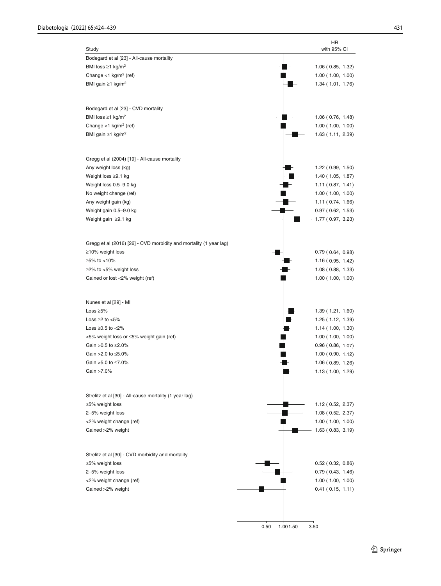<span id="page-7-0"></span>

|                                                                    | HR                      |
|--------------------------------------------------------------------|-------------------------|
| Study                                                              | with 95% CI             |
| Bodegard et al [23] - All-cause mortality                          |                         |
| BMI loss $\geq$ 1 kg/m <sup>2</sup>                                | 1.06(0.85, 1.32)        |
| Change <1 $kg/m2$ (ref)                                            | 1.00(1.00, 1.00)        |
| BMI gain $\geq$ 1 kg/m <sup>2</sup>                                | 1.34(1.01, 1.76)        |
|                                                                    |                         |
| Bodegard et al [23] - CVD mortality                                |                         |
| BMI loss $\geq$ 1 kg/m <sup>2</sup>                                | 1.06 (0.76, 1.48)       |
| Change <1 $kg/m2$ (ref)                                            | 1.00(1.00, 1.00)        |
| BMI gain $\geq$ 1 kg/m <sup>2</sup>                                | 1.63 (1.11, 2.39)       |
|                                                                    |                         |
|                                                                    |                         |
| Gregg et al (2004) [19] - All-cause mortality                      |                         |
| Any weight loss (kg)                                               | 1.22(0.99, 1.50)        |
| Weight loss ≥9.1 kg                                                | 1.40(1.05, 1.87)        |
| Weight loss 0.5-9.0 kg                                             | 1.11(0.87, 1.41)        |
| No weight change (ref)                                             | 1.00(1.00, 1.00)        |
| Any weight gain (kg)                                               | 1.11 (0.74, 1.66)       |
| Weight gain 0.5-9.0 kg                                             | 0.97(0.62, 1.53)        |
| Weight gain ≥9.1 kg                                                | 1.77 (0.97, 3.23)       |
|                                                                    |                         |
| Gregg et al (2016) [26] - CVD morbidity and mortality (1 year lag) |                         |
| ≥10% weight loss                                                   | 0.79(0.64, 0.98)        |
| ≥5% to <10%                                                        | 1.16(0.95, 1.42)        |
| ≥2% to <5% weight loss                                             | 1.08(0.88, 1.33)        |
| Gained or lost <2% weight (ref)                                    | 1.00(1.00, 1.00)        |
|                                                                    |                         |
|                                                                    |                         |
| Nunes et al [29] - MI                                              |                         |
| Loss $\geq 5\%$                                                    | 1.39(1.21, 1.60)        |
| Loss $\geq$ 2 to $<$ 5%                                            | 1.25(1.12, 1.39)        |
| Loss $\geq$ 0.5 to <2%                                             | 1.14(1.00, 1.30)        |
| <5% weight loss or ≤5% weight gain (ref)                           | 1.00(1.00, 1.00)        |
| Gain > 0.5 to ≤2.0%                                                | 0.96(0.86, 1.07)        |
| Gain >2.0 to ≤5.0%                                                 | 1.00(0.90, 1.12)        |
| Gain >5.0 to ≤7.0%                                                 | 1.06(0.89, 1.26)        |
| Gain >7.0%                                                         | 1.13 (1.00, 1.29)       |
|                                                                    |                         |
| Strelitz et al [30] - All-cause mortality (1 year lag)             |                         |
| ≥5% weight loss                                                    | 1.12(0.52, 2.37)        |
| 2-5% weight loss                                                   | 1.08(0.52, 2.37)        |
| <2% weight change (ref)                                            | 1.00(1.00, 1.00)        |
| Gained >2% weight                                                  | 1.63(0.83, 3.19)        |
|                                                                    |                         |
|                                                                    |                         |
| Strelitz et al [30] - CVD morbidity and mortality                  |                         |
| ≥5% weight loss                                                    | $0.52$ ( $0.32, 0.86$ ) |
| 2-5% weight loss                                                   | 0.79(0.43, 1.46)        |
| <2% weight change (ref)                                            | 1.00(1.00, 1.00)        |
| Gained >2% weight                                                  | 0.41(0.15, 1.11)        |
|                                                                    |                         |
|                                                                    |                         |
|                                                                    |                         |

2 Springer

0.50 1.001.50 3.50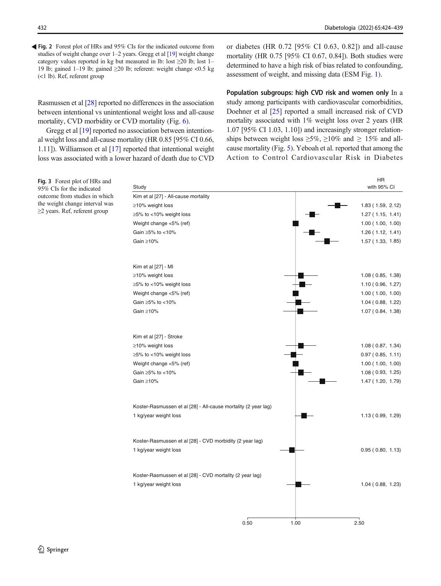<span id="page-8-0"></span>Fig. 2 Forest plot of HRs and 95% CIs for the indicated outcome from studies of weight change over 1–2 years. Gregg et al [\[19\]](#page-14-0) weight change category values reported in kg but measured in lb: lost  $\geq 20$  lb; lost 1– 19 lb; gained 1–19 lb; gained ≥20 lb; referent: weight change <0.5 kg (<1 lb). Ref, referent group

Rasmussen et al [[28\]](#page-14-0) reported no differences in the association between intentional vs unintentional weight loss and all-cause mortality, CVD morbidity or CVD mortality (Fig. [6](#page-11-0)).

Gregg et al [\[19](#page-14-0)] reported no association between intentional weight loss and all-cause mortality (HR 0.85 [95% CI 0.66, 1.11]). Williamson et al [\[17](#page-14-0)] reported that intentional weight loss was associated with a lower hazard of death due to CVD or diabetes (HR 0.72 [95% CI 0.63, 0.82]) and all-cause mortality (HR 0.75 [95% CI 0.67, 0.84]). Both studies were determined to have a high risk of bias related to confounding, assessment of weight, and missing data (ESM Fig. 1).

Population subgroups: high CVD risk and women only In a study among participants with cardiovascular comorbidities, Doehner et al [[25\]](#page-14-0) reported a small increased risk of CVD mortality associated with 1% weight loss over 2 years (HR 1.07 [95% CI 1.03, 1.10]) and increasingly stronger relationships between weight loss  $\geq 5\%$ ,  $\geq 10\%$  and  $\geq 15\%$  and allcause mortality (Fig. [5](#page-10-0)). Yeboah et al. reported that among the Action to Control Cardiovascular Risk in Diabetes

| Fig. 3 Forest plot of HRs and<br>95% CIs for the indicated | Study                                                          |      | <b>HR</b><br>with 95% CI |
|------------------------------------------------------------|----------------------------------------------------------------|------|--------------------------|
| outcome from studies in which                              | Kim et al [27] - All-cause mortality                           |      |                          |
| the weight change interval was                             | ≥10% weight loss                                               |      | 1.83(1.59, 2.12)         |
| ≥2 years. Ref, referent group                              | ≥5% to <10% weight loss                                        |      | 1.27(1.15, 1.41)         |
|                                                            | Weight change <5% (ref)                                        |      | 1.00(1.00, 1.00)         |
|                                                            | Gain ≥5% to <10%                                               |      | 1.26(1.12, 1.41)         |
|                                                            | Gain $\geq 10\%$                                               |      | 1.57(1.33, 1.85)         |
|                                                            | Kim et al [27] - MI                                            |      |                          |
|                                                            | ≥10% weight loss                                               |      | 1.08(0.85, 1.38)         |
|                                                            | ≥5% to <10% weight loss                                        |      | 1.10(0.96, 1.27)         |
|                                                            | Weight change <5% (ref)                                        |      | 1.00(1.00, 1.00)         |
|                                                            | Gain ≥5% to <10%                                               |      | 1.04(0.88, 1.22)         |
|                                                            | Gain $\geq 10\%$                                               |      | 1.07(0.84, 1.38)         |
|                                                            | Kim et al [27] - Stroke                                        |      |                          |
|                                                            | ≥10% weight loss                                               |      | 1.08(0.87, 1.34)         |
|                                                            | ≥5% to <10% weight loss                                        |      | 0.97(0.85, 1.11)         |
|                                                            | Weight change <5% (ref)                                        |      | 1.00(1.00, 1.00)         |
|                                                            | Gain ≥5% to <10%                                               |      | 1.08 (0.93, 1.25)        |
|                                                            | Gain $\geq 10\%$                                               |      | 1.47(1.20, 1.79)         |
|                                                            | Koster-Rasmussen et al [28] - All-cause mortality (2 year lag) |      |                          |
|                                                            | 1 kg/year weight loss                                          |      | 1.13(0.99, 1.29)         |
|                                                            | Koster-Rasmussen et al [28] - CVD morbidity (2 year lag)       |      |                          |
|                                                            | 1 kg/year weight loss                                          |      | 0.95(0.80, 1.13)         |
|                                                            | Koster-Rasmussen et al [28] - CVD mortality (2 year lag)       |      |                          |
|                                                            | 1 kg/year weight loss                                          |      | 1.04(0.88, 1.23)         |
|                                                            |                                                                |      |                          |
|                                                            | 0.50                                                           | 1.00 | 2.50                     |

2 Springer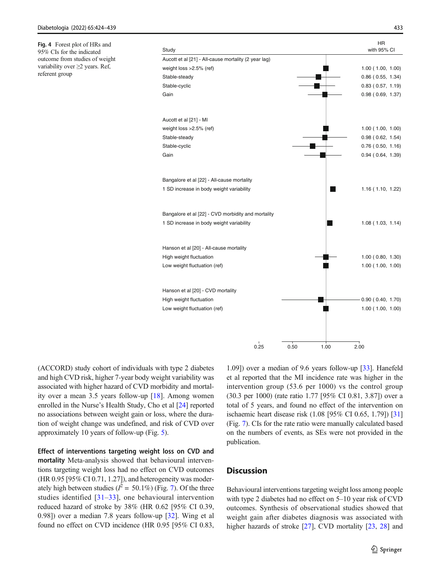<span id="page-9-0"></span>Fig. 4 Forest plot of HRs and 95% CIs for the indicated outcome from studies of weight variability over ≥2 years. Ref, referent group



(ACCORD) study cohort of individuals with type 2 diabetes and high CVD risk, higher 7-year body weight variability was associated with higher hazard of CVD morbidity and mortality over a mean 3.5 years follow-up [[18\]](#page-14-0). Among women enrolled in the Nurse's Health Study, Cho et al [\[24](#page-14-0)] reported no associations between weight gain or loss, where the duration of weight change was undefined, and risk of CVD over approximately 10 years of follow-up (Fig. [5](#page-10-0)).

Effect of interventions targeting weight loss on CVD and mortality Meta-analysis showed that behavioural interventions targeting weight loss had no effect on CVD outcomes (HR 0.95 [95% CI 0.71, 1.27]), and heterogeneity was moderately high between studies ( $l^2 = 50.1\%$ ) (Fig. [7\)](#page-12-0). Of the three studies identified  $\left[31-33\right]$  $\left[31-33\right]$  $\left[31-33\right]$  $\left[31-33\right]$  $\left[31-33\right]$ , one behavioural intervention reduced hazard of stroke by 38% (HR 0.62 [95% CI 0.39, 0.98]) over a median 7.8 years follow-up [\[32](#page-14-0)]. Wing et al found no effect on CVD incidence (HR 0.95 [95% CI 0.83,

1.09]) over a median of 9.6 years follow-up [[33\]](#page-14-0). Hanefeld et al reported that the MI incidence rate was higher in the intervention group (53.6 per 1000) vs the control group (30.3 per 1000) (rate ratio 1.77 [95% CI 0.81, 3.87]) over a total of 5 years, and found no effect of the intervention on ischaemic heart disease risk (1.08 [95% CI 0.65, 1.79]) [\[31](#page-14-0)] (Fig. [7\)](#page-12-0). CIs for the rate ratio were manually calculated based on the numbers of events, as SEs were not provided in the publication.

### **Discussion**

Behavioural interventions targeting weight loss among people with type 2 diabetes had no effect on 5–10 year risk of CVD outcomes. Synthesis of observational studies showed that weight gain after diabetes diagnosis was associated with higher hazards of stroke [[27\]](#page-14-0), CVD mortality [\[23](#page-14-0), [28](#page-14-0)] and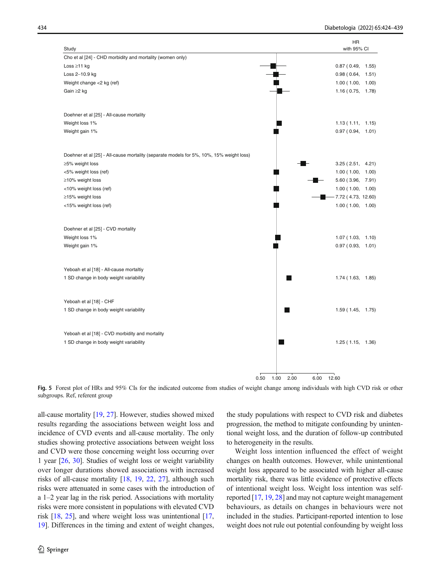<span id="page-10-0"></span>

Fig. 5 Forest plot of HRs and 95% CIs for the indicated outcome from studies of weight change among individuals with high CVD risk or other subgroups. Ref, referent group

all-cause mortality [\[19,](#page-14-0) [27\]](#page-14-0). However, studies showed mixed results regarding the associations between weight loss and incidence of CVD events and all-cause mortality. The only studies showing protective associations between weight loss and CVD were those concerning weight loss occurring over 1 year [\[26](#page-14-0), [30\]](#page-14-0). Studies of weight loss or weight variability over longer durations showed associations with increased risks of all-cause mortality [[18,](#page-14-0) [19,](#page-14-0) [22,](#page-14-0) [27\]](#page-14-0), although such risks were attenuated in some cases with the introduction of a 1–2 year lag in the risk period. Associations with mortality risks were more consistent in populations with elevated CVD risk [\[18,](#page-14-0) [25\]](#page-14-0), and where weight loss was unintentional [[17,](#page-14-0) [19\]](#page-14-0). Differences in the timing and extent of weight changes,

the study populations with respect to CVD risk and diabetes progression, the method to mitigate confounding by unintentional weight loss, and the duration of follow-up contributed to heterogeneity in the results.

Weight loss intention influenced the effect of weight changes on health outcomes. However, while unintentional weight loss appeared to be associated with higher all-cause mortality risk, there was little evidence of protective effects of intentional weight loss. Weight loss intention was selfreported [\[17](#page-14-0), [19](#page-14-0), [28\]](#page-14-0) and may not capture weight management behaviours, as details on changes in behaviours were not included in the studies. Participant-reported intention to lose weight does not rule out potential confounding by weight loss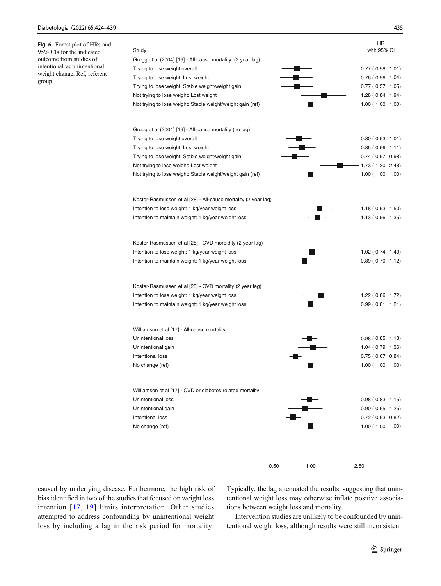<span id="page-11-0"></span>

| Fig. 6 Forest plot of HRs and<br>95% CIs for the indicated | Study                                                          | HR<br>with 95% CI          |
|------------------------------------------------------------|----------------------------------------------------------------|----------------------------|
| outcome from studies of                                    | Gregg et al (2004) [19] - All-cause mortality (2 year lag)     |                            |
| intentional vs unintentional                               | Trying to lose weight overall                                  | 0.77(0.58, 1.01)           |
| weight change. Ref, referent                               | Trying to lose weight: Lost weight                             | $0.76$ (0.56, 1.04)        |
| group                                                      | Trying to lose weight: Stable weight/weight gain               | $0.77$ ( $0.57$ , $1.05$ ) |
|                                                            | Not trying to lose weight: Lost weight                         | 1.28 (0.84, 1.94)          |
|                                                            | Not trying to lose weight: Stable weight/weight gain (ref)     | 1.00(1.00, 1.00)           |
|                                                            | Gregg et al (2004) [19] - All-cause mortality (no lag)         |                            |
|                                                            | Trying to lose weight overall                                  | $0.80$ ( $0.63$ , $1.01$ ) |
|                                                            | Trying to lose weight: Lost weight                             | 0.85(0.66, 1.11)           |
|                                                            | Trying to lose weight: Stable weight/weight gain               | $0.74$ ( $0.57, 0.98$ )    |
|                                                            | Not trying to lose weight: Lost weight                         | 1.73 (1.20, 2.48)          |
|                                                            | Not trying to lose weight: Stable weight/weight gain (ref)     | 1.00(1.00, 1.00)           |
|                                                            | Koster-Rasmussen et al [28] - All-cause mortality (2 year lag) |                            |
|                                                            | Intention to lose weight: 1 kg/year weight loss                | 1.18(0.93, 1.50)           |
|                                                            | Intention to maintain weight: 1 kg/year weight loss            | 1.13(0.96, 1.35)           |
|                                                            | Koster-Rasmussen et al [28] - CVD morbidity (2 year lag)       |                            |
|                                                            | Intention to lose weight: 1 kg/year weight loss                | 1.02(0.74, 1.40)           |
|                                                            | Intention to maintain weight: 1 kg/year weight loss            | 0.89(0.70, 1.12)           |
|                                                            | Koster-Rasmussen et al [28] - CVD mortality (2 year lag)       |                            |
|                                                            | Intention to lose weight: 1 kg/year weight loss                | 1.22 (0.86, 1.72)          |
|                                                            | Intention to maintain weight: 1 kg/year weight loss            | 0.99(0.81, 1.21)           |
|                                                            | Williamson et al [17] - All-cause mortality                    |                            |
|                                                            | Unintentional loss                                             | 0.98(0.85, 1.13)           |
|                                                            | Unintentional gain                                             | 1.04(0.79, 1.36)           |
|                                                            | Intentional loss                                               | 0.75(0.67, 0.84)           |
|                                                            | No change (ref)                                                | 1.00(1.00, 1.00)           |
|                                                            | Williamson et al [17] - CVD or diabetes related mortality      |                            |
|                                                            | Unintentional loss                                             | 0.98(0.83, 1.15)           |
|                                                            | Unintentional gain                                             | $0.90$ ( $0.65, 1.25$ )    |
|                                                            | Intentional loss                                               | $0.72$ (0.63, 0.82)        |
|                                                            | No change (ref)                                                | 1.00(1.00, 1.00)           |
|                                                            |                                                                |                            |
|                                                            | 0.50                                                           | 1.00<br>2.50               |

caused by underlying disease. Furthermore, the high risk of bias identified in two of the studies that focused on weight loss intention [[17,](#page-14-0) [19\]](#page-14-0) limits interpretation. Other studies attempted to address confounding by unintentional weight loss by including a lag in the risk period for mortality.

Typically, the lag attenuated the results, suggesting that unintentional weight loss may otherwise inflate positive associations between weight loss and mortality.

Intervention studies are unlikely to be confounded by unintentional weight loss, although results were still inconsistent.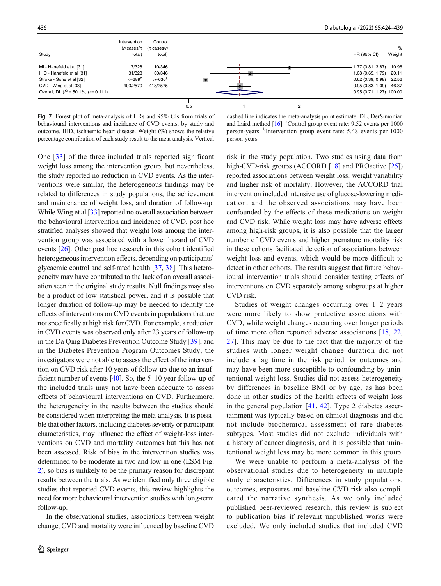<span id="page-12-0"></span>

Fig. 7 Forest plot of meta-analysis of HRs and 95% CIs from trials of behavioural interventions and incidence of CVD events, by study and outcome. IHD, ischaemic heart disease. Weight (%) shows the relative percentage contribution of each study result to the meta-analysis. Vertical

dashed line indicates the meta-analysis point estimate. DL, DerSimonian and Laird method [\[16\]](#page-14-0). <sup>a</sup>Control group event rate: 9.52 events per 1000 person-years. <sup>b</sup>Intervention group event rate: 5.48 events per 1000 person-years

One [\[33](#page-14-0)] of the three included trials reported significant weight loss among the intervention group, but nevertheless, the study reported no reduction in CVD events. As the interventions were similar, the heterogeneous findings may be related to differences in study populations, the achievement and maintenance of weight loss, and duration of follow-up. While Wing et al [[33\]](#page-14-0) reported no overall association between the behavioural intervention and incidence of CVD, post hoc stratified analyses showed that weight loss among the intervention group was associated with a lower hazard of CVD events [\[26\]](#page-14-0). Other post hoc research in this cohort identified heterogeneous intervention effects, depending on participants' glycaemic control and self-rated health [[37,](#page-14-0) [38\]](#page-14-0). This heterogeneity may have contributed to the lack of an overall association seen in the original study results. Null findings may also be a product of low statistical power, and it is possible that longer duration of follow-up may be needed to identify the effects of interventions on CVD events in populations that are not specifically at high risk for CVD. For example, a reduction in CVD events was observed only after 23 years of follow-up in the Da Qing Diabetes Prevention Outcome Study [\[39](#page-14-0)], and in the Diabetes Prevention Program Outcomes Study, the investigators were not able to assess the effect of the intervention on CVD risk after 10 years of follow-up due to an insufficient number of events  $[40]$  $[40]$ . So, the 5–10 year follow-up of the included trials may not have been adequate to assess effects of behavioural interventions on CVD. Furthermore, the heterogeneity in the results between the studies should be considered when interpreting the meta-analysis. It is possible that other factors, including diabetes severity or participant characteristics, may influence the effect of weight-loss interventions on CVD and mortality outcomes but this has not been assessed. Risk of bias in the intervention studies was determined to be moderate in two and low in one (ESM Fig. 2), so bias is unlikely to be the primary reason for discrepant results between the trials. As we identified only three eligible studies that reported CVD events, this review highlights the need for more behavioural intervention studies with long-term follow-up.

In the observational studies, associations between weight change, CVD and mortality were influenced by baseline CVD risk in the study population. Two studies using data from high-CVD-risk groups (ACCORD [\[18\]](#page-14-0) and PROactive [\[25\]](#page-14-0)) reported associations between weight loss, weight variability and higher risk of mortality. However, the ACCORD trial intervention included intensive use of glucose-lowering medication, and the observed associations may have been confounded by the effects of these medications on weight and CVD risk. While weight loss may have adverse effects among high-risk groups, it is also possible that the larger number of CVD events and higher premature mortality risk in these cohorts facilitated detection of associations between weight loss and events, which would be more difficult to detect in other cohorts. The results suggest that future behavioural intervention trials should consider testing effects of interventions on CVD separately among subgroups at higher CVD risk.

Studies of weight changes occurring over 1–2 years were more likely to show protective associations with CVD, while weight changes occurring over longer periods of time more often reported adverse associations [\[18](#page-14-0), [22,](#page-14-0) [27](#page-14-0)]. This may be due to the fact that the majority of the studies with longer weight change duration did not include a lag time in the risk period for outcomes and may have been more susceptible to confounding by unintentional weight loss. Studies did not assess heterogeneity by differences in baseline BMI or by age, as has been done in other studies of the health effects of weight loss in the general population  $[41, 42]$  $[41, 42]$  $[41, 42]$  $[41, 42]$  $[41, 42]$ . Type 2 diabetes ascertainment was typically based on clinical diagnosis and did not include biochemical assessment of rare diabetes subtypes. Most studies did not exclude individuals with a history of cancer diagnosis, and it is possible that unintentional weight loss may be more common in this group.

We were unable to perform a meta-analysis of the observational studies due to heterogeneity in multiple study characteristics. Differences in study populations, outcomes, exposures and baseline CVD risk also complicated the narrative synthesis. As we only included published peer-reviewed research, this review is subject to publication bias if relevant unpublished works were excluded. We only included studies that included CVD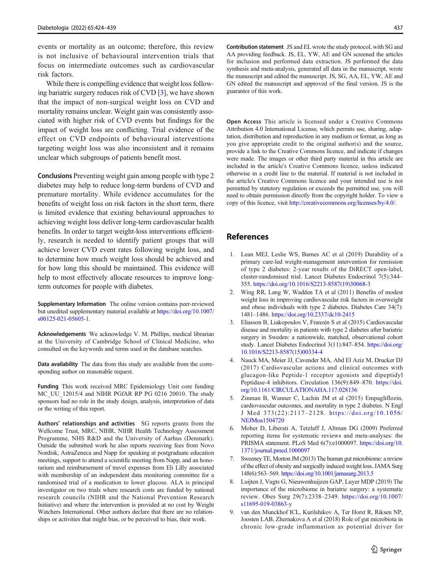<span id="page-13-0"></span>events or mortality as an outcome; therefore, this review is not inclusive of behavioural intervention trials that focus on intermediate outcomes such as cardiovascular risk factors.

While there is compelling evidence that weight loss following bariatric surgery reduces risk of CVD [3], we have shown that the impact of non-surgical weight loss on CVD and mortality remains unclear. Weight gain was consistently associated with higher risk of CVD events but findings for the impact of weight loss are conflicting. Trial evidence of the effect on CVD endpoints of behavioural interventions targeting weight loss was also inconsistent and it remains unclear which subgroups of patients benefit most.

Conclusions Preventing weight gain among people with type 2 diabetes may help to reduce long-term burdens of CVD and premature mortality. While evidence accumulates for the benefits of weight loss on risk factors in the short term, there is limited evidence that existing behavioural approaches to achieving weight loss deliver long-term cardiovascular health benefits. In order to target weight-loss interventions efficiently, research is needed to identify patient groups that will achieve lower CVD event rates following weight loss, and to determine how much weight loss should be achieved and for how long this should be maintained. This evidence will help to most effectively allocate resources to improve longterm outcomes for people with diabetes.

Supplementary Information The online version contains peer-reviewed but unedited supplementary material available at [https://doi.org/10.1007/](https://doi.org/10.1007/s00125-021-05605-1) [s00125-021-05605-1](https://doi.org/10.1007/s00125-021-05605-1).

Acknowledgements We acknowledge V. M. Phillips, medical librarian at the University of Cambridge School of Clinical Medicine, who consulted on the keywords and terms used in the database searches.

Data availability The data from this study are available from the corresponding author on reasonable request.

Funding This work received MRC Epidemiology Unit core funding MC\_UU\_12015/4 and NIHR PGfAR RP PG 0216 20010. The study sponsors had no role in the study design, analysis, interpretation of data or the writing of this report.

Authors' relationships and activities SG reports grants from the Wellcome Trust, MRC, NIHR, NIHR Health Technology Assessment Programme, NHS R&D and the University of Aarhus (Denmark). Outside the submitted work he also reports receiving fees from Novo Nordisk, AstraZeneca and Napp for speaking at postgraduate education meetings, support to attend a scientific meeting from Napp, and an honorarium and reimbursement of travel expenses from Eli Lilly associated with membership of an independent data monitoring committee for a randomised trial of a medication to lower glucose. ALA is principal investigator on two trials where research costs are funded by national research councils (NIHR and the National Prevention Research Initiative) and where the intervention is provided at no cost by Weight Watchers International. Other authors declare that there are no relationships or activities that might bias, or be perceived to bias, their work.

Contribution statement JS and EL wrote the study protocol, with SG and AA providing feedback. JS, EL, YW, AE and GN screened the articles for inclusion and performed data extraction. JS performed the data synthesis and meta-analysis, generated all data in the manuscript, wrote the manuscript and edited the manuscript. JS, SG, AA, EL, YW, AE and GN edited the manuscript and approved of the final version. JS is the guarantor of this work.

Open Access This article is licensed under a Creative Commons Attribution 4.0 International License, which permits use, sharing, adaptation, distribution and reproduction in any medium or format, as long as you give appropriate credit to the original author(s) and the source, provide a link to the Creative Commons licence, and indicate if changes were made. The images or other third party material in this article are included in the article's Creative Commons licence, unless indicated otherwise in a credit line to the material. If material is not included in the article's Creative Commons licence and your intended use is not permitted by statutory regulation or exceeds the permitted use, you will need to obtain permission directly from the copyright holder. To view a copy of this licence, visit [http://creativecommons.org/licenses/by/4.0/.](http://creativecommons.org/licenses/by/4.0/)

### References

- 1. Lean MEJ, Leslie WS, Barnes AC et al (2019) Durability of a primary care-led weight-management intervention for remission of type 2 diabetes: 2-year results of the DiRECT open-label, cluster-randomised trial. Lancet Diabetes Endocrinol 7(5):344– 355. [https://doi.org/10.1016/S2213-8587\(19\)30068-3](https://doi.org/10.1016/S2213-8587(19)30068-3)
- 2. Wing RR, Lang W, Wadden TA et al (2011) Benefits of modest weight loss in improving cardiovascular risk factors in overweight and obese individuals with type 2 diabetes. Diabetes Care 34(7): 1481–1486. <https://doi.org/10.2337/dc10-2415>
- 3. Eliasson B, Liakopoulos V, Franzén S et al (2015) Cardiovascular disease and mortality in patients with type 2 diabetes after bariatric surgery in Sweden: a nationwide, matched, observational cohort study. Lancet Diabetes Endocrinol 3(11):847–854. [https://doi.org/](https://doi.org/10.1016/S2213-8587(15)00334-4) [10.1016/S2213-8587\(15\)00334-4](https://doi.org/10.1016/S2213-8587(15)00334-4)
- 4. Nauck MA, Meier JJ, Cavender MA, Abd El Aziz M, Drucker DJ (2017) Cardiovascular actions and clinical outcomes with glucagon-like Peptide-1 receptor agonists and dipeptidyl Peptidase-4 inhibitors. Circulation 136(9):849–870. [https://doi.](https://doi.org/10.1161/CIRCULATIONAHA.117.028136) [org/10.1161/CIRCULATIONAHA.117.028136](https://doi.org/10.1161/CIRCULATIONAHA.117.028136)
- 5. Zinman B, Wanner C, Lachin JM et al (2015) Empagliflozin, cardiovascular outcomes, and mortality in type 2 diabetes. N Engl J Med 373(22):2117–2128. [https://doi.org/10.1056/](https://doi.org/10.1056/NEJMoa1504720) [NEJMoa1504720](https://doi.org/10.1056/NEJMoa1504720)
- 6. Moher D, Liberati A, Tetzlaff J, Altman DG (2009) Preferred reporting items for systematic reviews and meta-analyses: the PRISMA statement. PLoS Med 6(7):e1000097. [https://doi.org/10.](https://doi.org/10.1371/journal.pmed.1000097) [1371/journal.pmed.1000097](https://doi.org/10.1371/journal.pmed.1000097)
- 7. Sweeney TE, Morton JM (2013) The human gut microbiome: a review of the effect of obesity and surgically induced weight loss. JAMA Surg 148(6):563–569. <https://doi.org/10.1001/jamasurg.2013.5>
- 8. Luijten J, Vugts G, Nieuwenhuijzen GAP, Luyer MDP (2019) The importance of the microbiome in bariatric surgery: a systematic review. Obes Surg 29(7):2338–2349. [https://doi.org/10.1007/](https://doi.org/10.1007/s11695-019-03863-y) [s11695-019-03863-y](https://doi.org/10.1007/s11695-019-03863-y)
- 9. van den Munckhof ICL, Kurilshikov A, Ter Horst R, Riksen NP, Joosten LAB, Zhernakova A et al (2018) Role of gut microbiota in chronic low-grade inflammation as potential driver for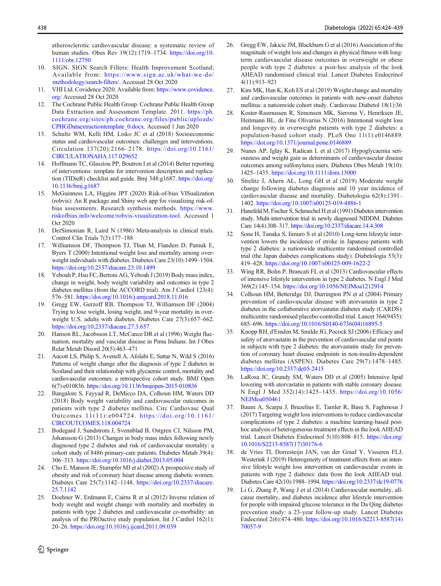<span id="page-14-0"></span>atherosclerotic cardiovascular disease: a systematic review of human studies. Obes Rev 19(12):1719–1734. [https://doi.org/10.](https://doi.org/10.1111/obr.12750) [1111/obr.12750](https://doi.org/10.1111/obr.12750)

- 10. SIGN. SIGN Search Filters: Health Improvement Scotland; Available from: [https://www.sign.ac.uk/what-we-do/](https://www.sign.ac.uk/what-we-do/methodology/search-filters/) [methodology/search-filters/.](https://www.sign.ac.uk/what-we-do/methodology/search-filters/) Accessed 28 Oct 2020
- 11. VHI Ltd. Covidence 2020. Available from: [https://www.covidence.](https://www.covidence.org/) [org/](https://www.covidence.org/) Accessed 28 Oct 2020
- 12. The Cochrane Public Health Group. Cochrane Public Health Group Data Extraction and Assessment Template. 2011. [https://ph.](https://ph.cochrane.org/sites/ph.cochrane.org/files/public/uploads/CPHGDataextractiontemplate_0.docx) [cochrane.org/sites/ph.cochrane.org/files/public/uploads/](https://ph.cochrane.org/sites/ph.cochrane.org/files/public/uploads/CPHGDataextractiontemplate_0.docx) [CPHGDataextractiontemplate\\_0.docx](https://ph.cochrane.org/sites/ph.cochrane.org/files/public/uploads/CPHGDataextractiontemplate_0.docx). Accessed 1 Jun 2020
- 13. Schultz WM, Kelli HM, Lisko JC et al (2018) Socioeconomic status and cardiovascular outcomes: challenges and interventions. Circulation 137(20):2166–2178. [https://doi.org/10.1161/](https://doi.org/10.1161/CIRCULATIONAHA.117.029652) [CIRCULATIONAHA.117.029652](https://doi.org/10.1161/CIRCULATIONAHA.117.029652)
- 14. Hoffmann TC, Glasziou PP, Boutron I et al (2014) Better reporting of interventions: template for intervention description and replication (TIDieR) checklist and guide. Bmj 348:g1687. [https://doi.org/](https://doi.org/10.1136/bmj.g1687) [10.1136/bmj.g1687](https://doi.org/10.1136/bmj.g1687)
- 15. McGuinness LA, Higgins JPT (2020) Risk-of-bias VISualization (robvis): An R package and Shiny web app for visualizing risk-ofbias assessments. Research synthesis methods. [https://www.](https://www.riskofbias.info/welcome/robvis-visualization-tool) [riskofbias.info/welcome/robvis-visualization-tool](https://www.riskofbias.info/welcome/robvis-visualization-tool). Accessed 1 Oct 2020
- 16. DerSimonian R, Laird N (1986) Meta-analysis in clinical trials. Control Clin Trials 7(3):177–188
- 17. Williamson DF, Thompson TJ, Thun M, Flanders D, Pamuk E, Byers T (2000) Intentional weight loss and mortality among overweight individuals with diabetes. Diabetes Care 23(10):1499–1504. <https://doi.org/10.2337/diacare.23.10.1499>
- 18. Yeboah P, Hsu FC, Bertoni AG, Yeboah J (2019) Body mass index, change in weight, body weight variability and outcomes in type 2 diabetes mellitus (from the ACCORD trial). Am J Cardiol 123(4): 576–581. <https://doi.org/10.1016/j.amjcard.2018.11.016>
- 19. Gregg EW, Gerzoff RB, Thompson TJ, Williamson DF (2004) Trying to lose weight, losing weight, and 9-year mortality in overweight U.S. adults with diabetes. Diabetes Care 27(3):657–662. <https://doi.org/10.2337/diacare.27.3.657>
- 20. Hanson RL, Jacobsson LT, McCance DR et al (1996) Weight fluctuation, mortality and vascular disease in Pima Indians. Int J Obes Relat Metab Disord 20(5):463–471
- 21. Aucott LS, Philip S, Avenell A, Afolabi E, Sattar N, Wild S (2016) Patterns of weight change after the diagnosis of type 2 diabetes in Scotland and their relationship with glycaemic control, mortality and cardiovascular outcomes: a retrospective cohort study. BMJ Open 6(7):e010836. <https://doi.org/10.1136/bmjopen-2015-010836>
- 22. Bangalore S, Fayyad R, DeMicco DA, Colhoun HM, Waters DD (2018) Body weight variability and cardiovascular outcomes in patients with type 2 diabetes mellitus. Circ Cardiovasc Qual Outcomes 11(11):e004724. [https://doi.org/10.1161/](https://doi.org/10.1161/CIRCOUTCOMES.118.004724) [CIRCOUTCOMES.118.004724](https://doi.org/10.1161/CIRCOUTCOMES.118.004724)
- 23. Bodegard J, Sundstrom J, Svennblad B, Ostgren CJ, Nilsson PM, Johansson G (2013) Changes in body mass index following newly diagnosed type 2 diabetes and risk of cardiovascular mortality: a cohort study of 8486 primary-care patients. Diabetes Metab 39(4): 306–313. <https://doi.org/10.1016/j.diabet.2013.05.004>
- 24. Cho E, Manson JE, Stampfer MJ et al (2002) A prospective study of obesity and risk of coronary heart disease among diabetic women. Diabetes Care 25(7):1142–1148. [https://doi.org/10.2337/diacare.](https://doi.org/10.2337/diacare.25.7.1142) [25.7.1142](https://doi.org/10.2337/diacare.25.7.1142)
- 25. Doehner W, Erdmann E, Cairns R et al (2012) Inverse relation of body weight and weight change with mortality and morbidity in patients with type 2 diabetes and cardiovascular co-morbidity: an analysis of the PROactive study population. Int J Cardiol 162(1): 20–26. <https://doi.org/10.1016/j.ijcard.2011.09.039>
- 26. Gregg EW, Jakicic JM, Blackburn G et al (2016) Association of the magnitude of weight loss and changes in physical fitness with longterm cardiovascular disease outcomes in overweight or obese people with type 2 diabetes: a post-hoc analysis of the look AHEAD randomised clinical trial. Lancet Diabetes Endocrinol 4(11):913–921
- 27. Kim MK, Han K, Koh ES et al (2019) Weight change and mortality and cardiovascular outcomes in patients with new-onset diabetes mellitus: a nationwide cohort study. Cardiovasc Diabetol 18(1):36
- 28. Koster-Rasmussen R, Simonsen MK, Siersma V, Henriksen JE, Heitmann BL, de Fine Olivarius N (2016) Intentional weight loss and longevity in overweight patients with type 2 diabetes: a population-based cohort study. PLoS One 11(1):e0146889. <https://doi.org/10.1371/journal.pone.0146889>
- 29. Nunes AP, Iglay K, Radican L et al (2017) Hypoglycaemia seriousness and weight gain as determinants of cardiovascular disease outcomes among sulfonylurea users. Diabetes Obes Metab 19(10): 1425–1435. <https://doi.org/10.1111/dom.13000>
- 30. Strelitz J, Ahern AL, Long GH et al (2019) Moderate weight change following diabetes diagnosis and 10 year incidence of cardiovascular disease and mortality. Diabetologia 62(8):1391– 1402. <https://doi.org/10.1007/s00125-019-4886-1>
- 31. Hanefeld M, Fischer S, Schmechel H et al (1991) Diabetes intervention study. Multi-intervention trial in newly diagnosed NIDDM. Diabetes Care 14(4):308–317. <https://doi.org/10.2337/diacare.14.4.308>
- 32. Sone H, Tanaka S, Iimuro S et al (2010) Long-term lifestyle intervention lowers the incidence of stroke in Japanese patients with type 2 diabetes: a nationwide multicentre randomised controlled trial (the Japan diabetes complications study). Diabetologia 53(3): 419–428. <https://doi.org/10.1007/s00125-009-1622-2>
- 33. Wing RR, Bolin P, Brancati FL et al (2013) Cardiovascular effects of intensive lifestyle intervention in type 2 diabetes. N Engl J Med 369(2):145–154. <https://doi.org/10.1056/NEJMoa1212914>
- 34. Colhoun HM, Betteridge DJ, Durrington PN et al (2004) Primary prevention of cardiovascular disease with atorvastatin in type 2 diabetes in the collaborative atorvastatin diabetes study (CARDS): multicentre randomised placebo-controlled trial. Lancet 364(9435): 685–696. [https://doi.org/10.1016/S0140-6736\(04\)16895-5](https://doi.org/10.1016/S0140-6736(04)16895-5)
- 35. Knopp RH, d'Emden M, Smilde JG, Pocock SJ (2006) Efficacy and safety of atorvastatin in the prevention of cardiovascular end points in subjects with type 2 diabetes: the atorvastatin study for prevention of coronary heart disease endpoints in non-insulin-dependent diabetes mellitus (ASPEN). Diabetes Care 29(7):1478–1485. <https://doi.org/10.2337/dc05-2415>
- 36. LaRosa JC, Grundy SM, Waters DD et al (2005) Intensive lipid lowering with atorvastatin in patients with stable coronary disease. N Engl J Med 352(14):1425–1435. [https://doi.org/10.1056/](https://doi.org/10.1056/NEJMoa050461) [NEJMoa050461](https://doi.org/10.1056/NEJMoa050461)
- 37. Baum A, Scarpa J, Bruzelius E, Tamler R, Basu S, Faghmous J (2017) Targeting weight loss interventions to reduce cardiovascular complications of type 2 diabetes: a machine learning-based posthoc analysis of heterogeneous treatment effects in the look AHEAD trial. Lancet Diabetes Endocrinol 5(10):808–815. [https://doi.org/](https://doi.org/10.1016/S2213-8587(17)30176-6) [10.1016/S2213-8587\(17\)30176-6](https://doi.org/10.1016/S2213-8587(17)30176-6)
- 38. de Vries TI, Dorresteijn JAN, van der Graaf Y, Visseren FLJ, Westerink J (2019) Heterogeneity of treatment effects from an intensive lifestyle weight loss intervention on cardiovascular events in patients with type 2 diabetes: data from the look AHEAD trial. Diabetes Care 42(10):1988–1994. <https://doi.org/10.2337/dc19-0776>
- 39. Li G, Zhang P, Wang J et al (2014) Cardiovascular mortality, allcause mortality, and diabetes incidence after lifestyle intervention for people with impaired glucose tolerance in the Da Qing diabetes prevention study: a 23-year follow-up study. Lancet Diabetes Endocrinol 2(6):474–480. [https://doi.org/10.1016/S2213-8587\(14\)](https://doi.org/10.1016/S2213-8587(14)70057-9) [70057-9](https://doi.org/10.1016/S2213-8587(14)70057-9)